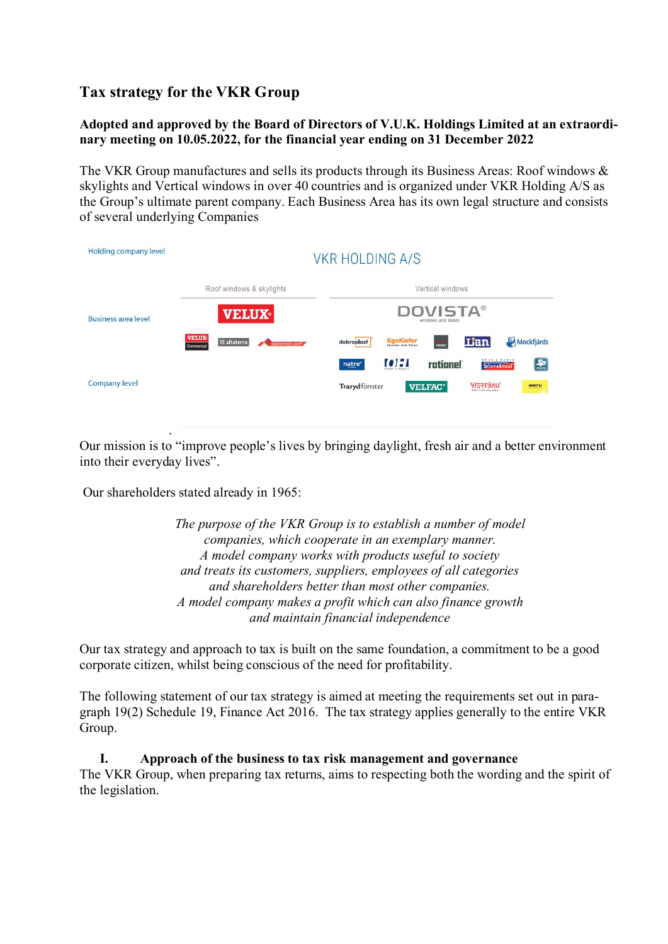# **Tax strategy for the VKR Group**

# **Adopted and approved by the Board of Directors of V.U.K. Holdings Limited at an extraordinary meeting on 10.05.2022, for the financial year ending on 31 December 2022**

The VKR Group manufactures and sells its products through its Business Areas: Roof windows & skylights and Vertical windows in over 40 countries and is organized under VKR Holding A/S as the Group's ultimate parent company. Each Business Area has its own legal structure and consists of several underlying Companies

| Holding company level      | <b>VKR HOLDING A/S</b>                                                   |                                                                                                                                                       |
|----------------------------|--------------------------------------------------------------------------|-------------------------------------------------------------------------------------------------------------------------------------------------------|
|                            | Roof windows & skylights                                                 | Vertical windows                                                                                                                                      |
| <b>Business area level</b> | <b>VELUX</b>                                                             | <b>DOVISTA®</b><br>windows and doors                                                                                                                  |
|                            | <b>VELUX</b><br>8 altaterra<br>dakvenster.com <sup>*</sup><br>Commercial | <b>Lian</b><br>Mockfjärds<br>EgoKiefer<br>KRONE<br>dobroplast                                                                                         |
| <b>Company level</b>       |                                                                          | okná a dvere<br>$\left(\frac{\sqrt{2}}{\sin \theta}\right)$<br><b>[0] : 1</b><br>rationel<br>natre <sup>*</sup><br><b>Slovaktual</b><br>DOORS A PANEL |
|                            |                                                                          | <b>V/ERTSAU</b><br><b>Trarydfönster</b><br><b>VELFAC<sup>®</sup></b><br>weru<br>Mehr Licht zum Leber                                                  |
|                            |                                                                          |                                                                                                                                                       |

Our mission is to "improve people's lives by bringing daylight, fresh air and a better environment into their everyday lives".

Our shareholders stated already in 1965:

.

*The purpose of the VKR Group is to establish a number of model companies, which cooperate in an exemplary manner. A model company works with products useful to society and treats its customers, suppliers, employees of all categories and shareholders better than most other companies. A model company makes a profit which can also finance growth and maintain financial independence*

Our tax strategy and approach to tax is built on the same foundation, a commitment to be a good corporate citizen, whilst being conscious of the need for profitability.

The following statement of our tax strategy is aimed at meeting the requirements set out in paragraph 19(2) Schedule 19, Finance Act 2016. The tax strategy applies generally to the entire VKR Group.

#### **I. Approach of the business to tax risk management and governance**

The VKR Group, when preparing tax returns, aims to respecting both the wording and the spirit of the legislation.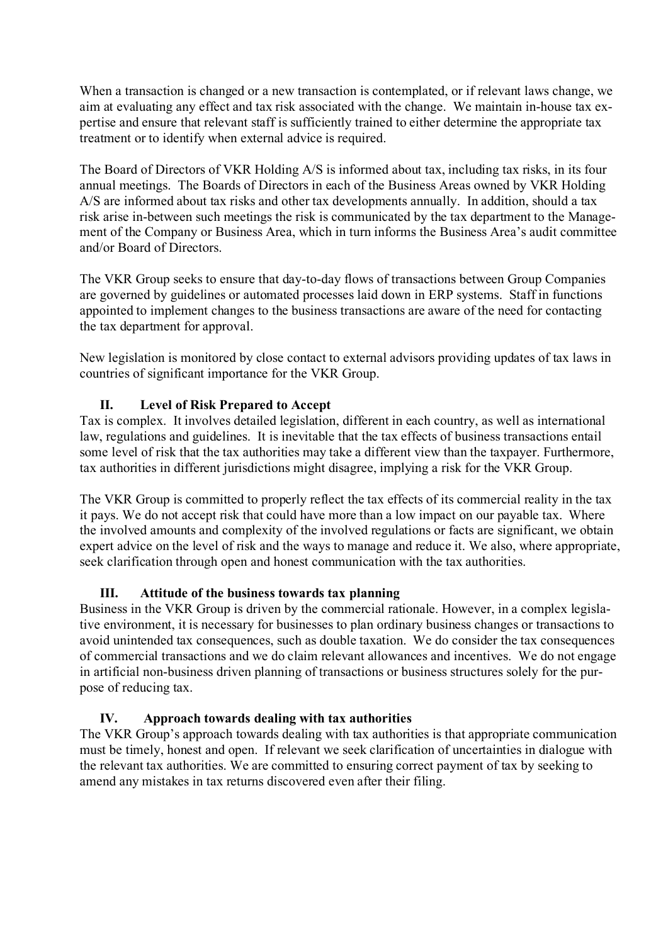When a transaction is changed or a new transaction is contemplated, or if relevant laws change, we aim at evaluating any effect and tax risk associated with the change. We maintain in-house tax expertise and ensure that relevant staff is sufficiently trained to either determine the appropriate tax treatment or to identify when external advice is required.

The Board of Directors of VKR Holding A/S is informed about tax, including tax risks, in its four annual meetings. The Boards of Directors in each of the Business Areas owned by VKR Holding A/S are informed about tax risks and other tax developments annually. In addition, should a tax risk arise in-between such meetings the risk is communicated by the tax department to the Management of the Company or Business Area, which in turn informs the Business Area's audit committee and/or Board of Directors.

The VKR Group seeks to ensure that day-to-day flows of transactions between Group Companies are governed by guidelines or automated processes laid down in ERP systems. Staff in functions appointed to implement changes to the business transactions are aware of the need for contacting the tax department for approval.

New legislation is monitored by close contact to external advisors providing updates of tax laws in countries of significant importance for the VKR Group.

# **II. Level of Risk Prepared to Accept**

Tax is complex. It involves detailed legislation, different in each country, as well as international law, regulations and guidelines. It is inevitable that the tax effects of business transactions entail some level of risk that the tax authorities may take a different view than the taxpayer. Furthermore, tax authorities in different jurisdictions might disagree, implying a risk for the VKR Group.

The VKR Group is committed to properly reflect the tax effects of its commercial reality in the tax it pays. We do not accept risk that could have more than a low impact on our payable tax. Where the involved amounts and complexity of the involved regulations or facts are significant, we obtain expert advice on the level of risk and the ways to manage and reduce it. We also, where appropriate, seek clarification through open and honest communication with the tax authorities.

# **III. Attitude of the business towards tax planning**

Business in the VKR Group is driven by the commercial rationale. However, in a complex legislative environment, it is necessary for businesses to plan ordinary business changes or transactions to avoid unintended tax consequences, such as double taxation. We do consider the tax consequences of commercial transactions and we do claim relevant allowances and incentives. We do not engage in artificial non-business driven planning of transactions or business structures solely for the purpose of reducing tax.

# **IV. Approach towards dealing with tax authorities**

The VKR Group's approach towards dealing with tax authorities is that appropriate communication must be timely, honest and open. If relevant we seek clarification of uncertainties in dialogue with the relevant tax authorities. We are committed to ensuring correct payment of tax by seeking to amend any mistakes in tax returns discovered even after their filing.